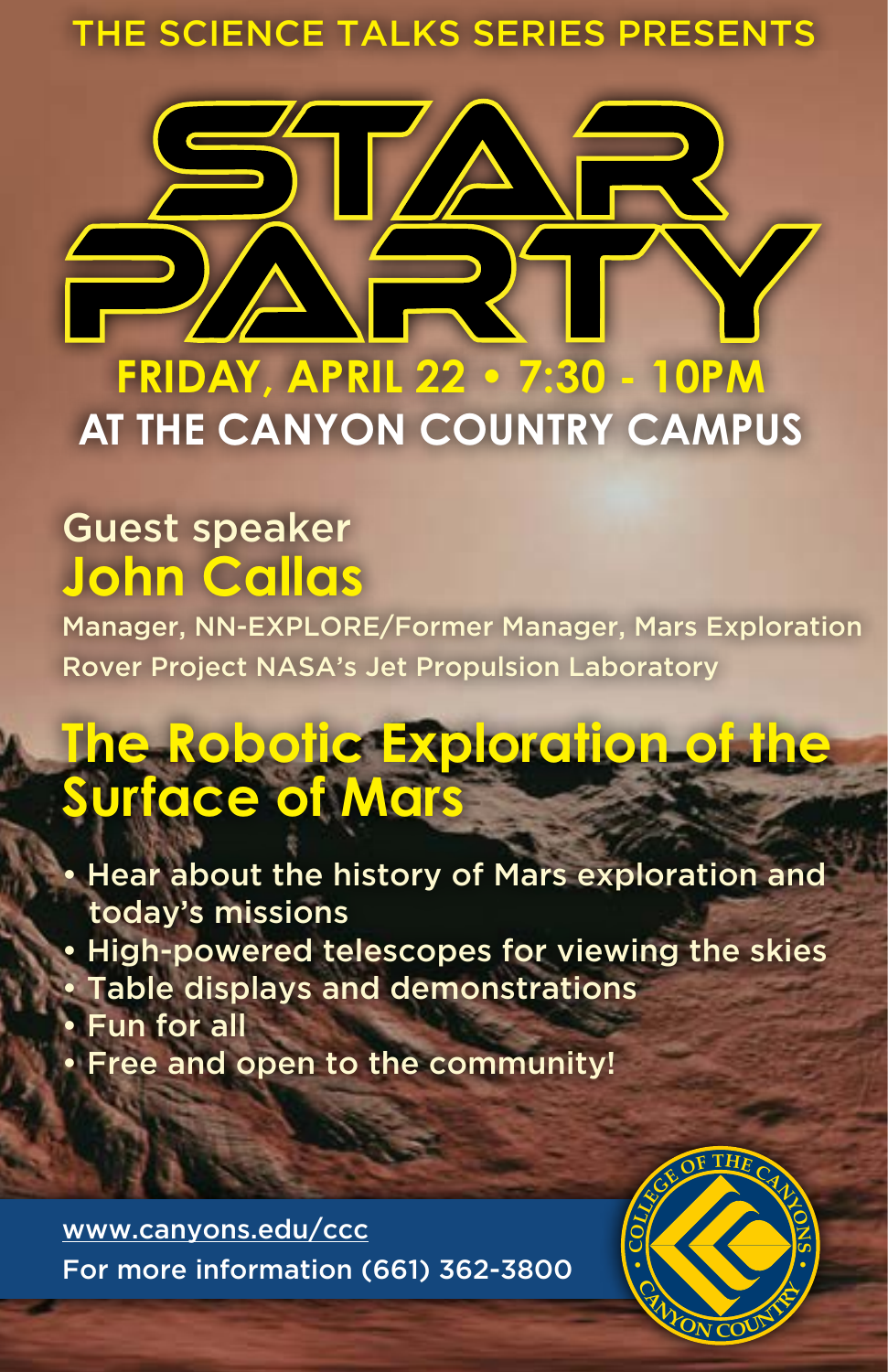## THE SCIENCE TALKS SERIES PRESENTS



**AT THE CANYON COUNTRY CAMPUS**

## Guest speaker **John Callas**

Manager, NN-EXPLORE/Former Manager, Mars Exploration Rover Project NASA's Jet Propulsion Laboratory

# **The Robotic Exploration of Surface of Mars**

• Hear about the history of Mars exploration and today's missions • High-powered telescopes for viewing the skies • Table displays and demonstrations • Fun for all • Free and open to the community!

[www.canyons.edu/ccc](http://www.canyons.edu/ccc ) For more information (661) 362-3800 **• <sup>C</sup>**

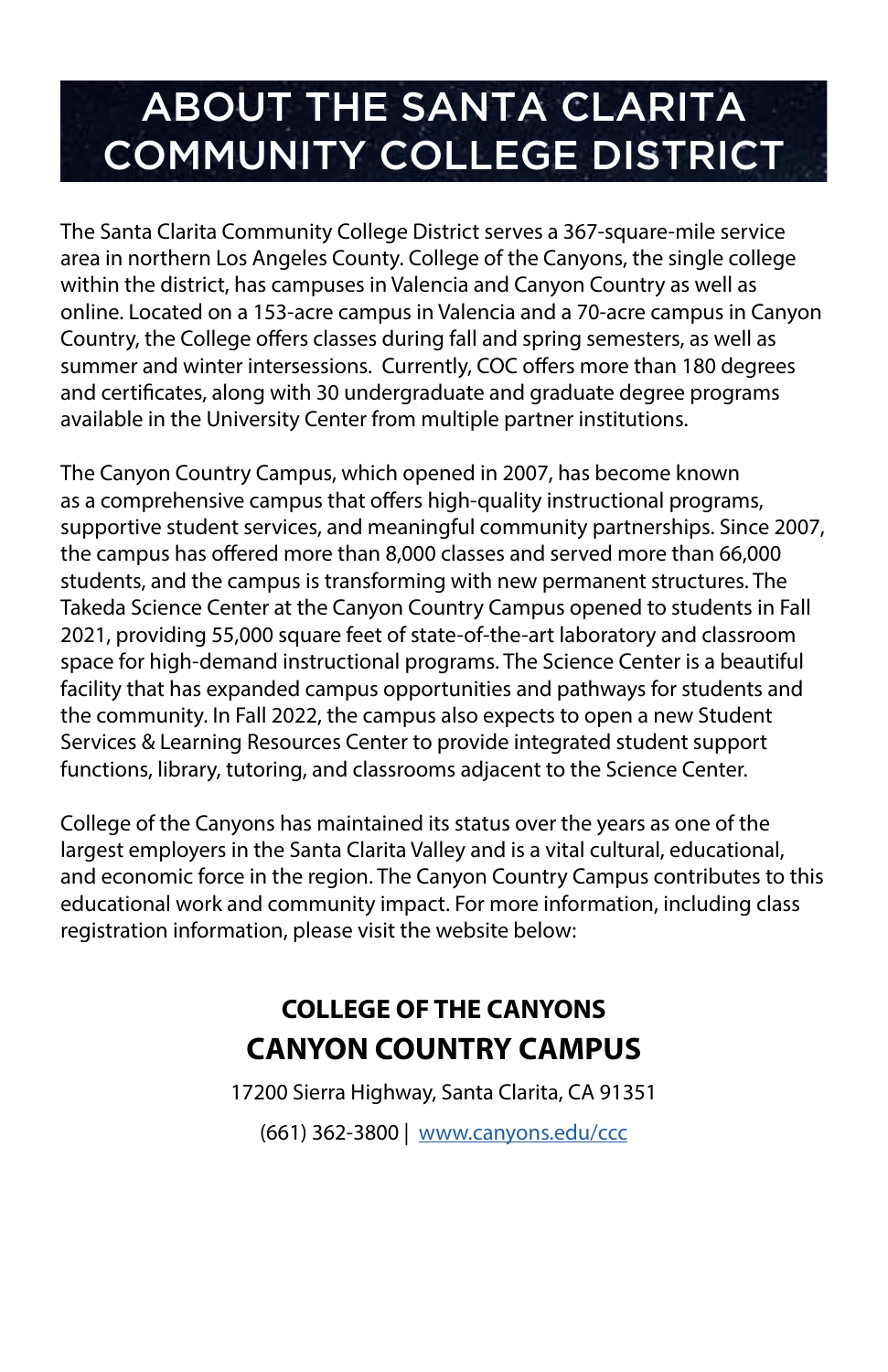## ABOUT THE SANTA CLARITA COMMUNITY COLLEGE DISTRICT

The Santa Clarita Community College District serves a 367-square-mile service area in northern Los Angeles County. College of the Canyons, the single college within the district, has campuses in Valencia and Canyon Country as well as online. Located on a 153-acre campus in Valencia and a 70-acre campus in Canyon Country, the College offers classes during fall and spring semesters, as well as summer and winter intersessions. Currently, COC offers more than 180 degrees and certificates, along with 30 undergraduate and graduate degree programs available in the University Center from multiple partner institutions.

The Canyon Country Campus, which opened in 2007, has become known as a comprehensive campus that offers high-quality instructional programs, supportive student services, and meaningful community partnerships. Since 2007, the campus has offered more than 8,000 classes and served more than 66,000 students, and the campus is transforming with new permanent structures. The Takeda Science Center at the Canyon Country Campus opened to students in Fall 2021, providing 55,000 square feet of state-of-the-art laboratory and classroom space for high-demand instructional programs. The Science Center is a beautiful facility that has expanded campus opportunities and pathways for students and the community. In Fall 2022, the campus also expects to open a new Student Services & Learning Resources Center to provide integrated student support functions, library, tutoring, and classrooms adjacent to the Science Center.

College of the Canyons has maintained its status over the years as one of the largest employers in the Santa Clarita Valley and is a vital cultural, educational, and economic force in the region. The Canyon Country Campus contributes to this educational work and community impact. For more information, including class registration information, please visit the website below:

## **COLLEGE OF THE CANYONS CANYON COUNTRY CAMPUS**

17200 Sierra Highway, Santa Clarita, CA 91351

(661) 362-3800 | [www.canyons.edu/ccc](http://www.canyons.edu/ccc)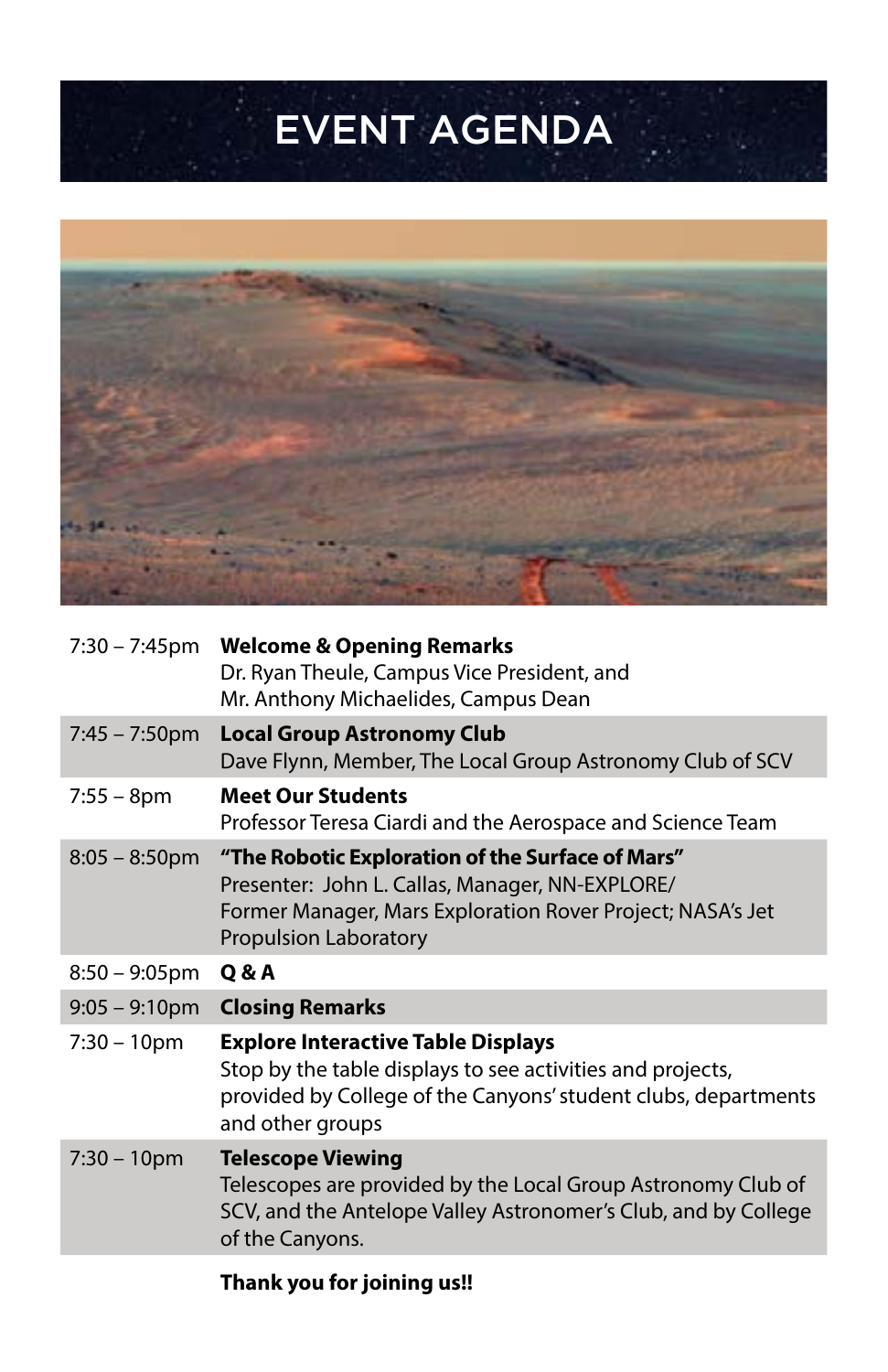# EVENT AGENDA



| $7:30 - 7:45$ pm        | <b>Welcome &amp; Opening Remarks</b><br>Dr. Ryan Theule, Campus Vice President, and<br>Mr. Anthony Michaelides, Campus Dean                                                                       |
|-------------------------|---------------------------------------------------------------------------------------------------------------------------------------------------------------------------------------------------|
| $7:45 - 7:50 \text{pm}$ | <b>Local Group Astronomy Club</b><br>Dave Flynn, Member, The Local Group Astronomy Club of SCV                                                                                                    |
| $7:55 - 8pm$            | <b>Meet Our Students</b><br>Professor Teresa Ciardi and the Aerospace and Science Team                                                                                                            |
| $8:05 - 8:50$ pm        | "The Robotic Exploration of the Surface of Mars"<br>Presenter: John L. Callas, Manager, NN-EXPLORE/<br>Former Manager, Mars Exploration Rover Project; NASA's Jet<br><b>Propulsion Laboratory</b> |
|                         |                                                                                                                                                                                                   |
| $8:50 - 9:05$ pm        | Q & A                                                                                                                                                                                             |
| $9:05 - 9:10$ pm        | <b>Closing Remarks</b>                                                                                                                                                                            |
| $7:30 - 10$ pm          | <b>Explore Interactive Table Displays</b><br>Stop by the table displays to see activities and projects,<br>provided by College of the Canyons' student clubs, departments<br>and other groups     |
| $7:30 - 10$ pm          | <b>Telescope Viewing</b><br>Telescopes are provided by the Local Group Astronomy Club of<br>SCV, and the Antelope Valley Astronomer's Club, and by College<br>of the Canyons.                     |

#### **Thank you for joining us!!**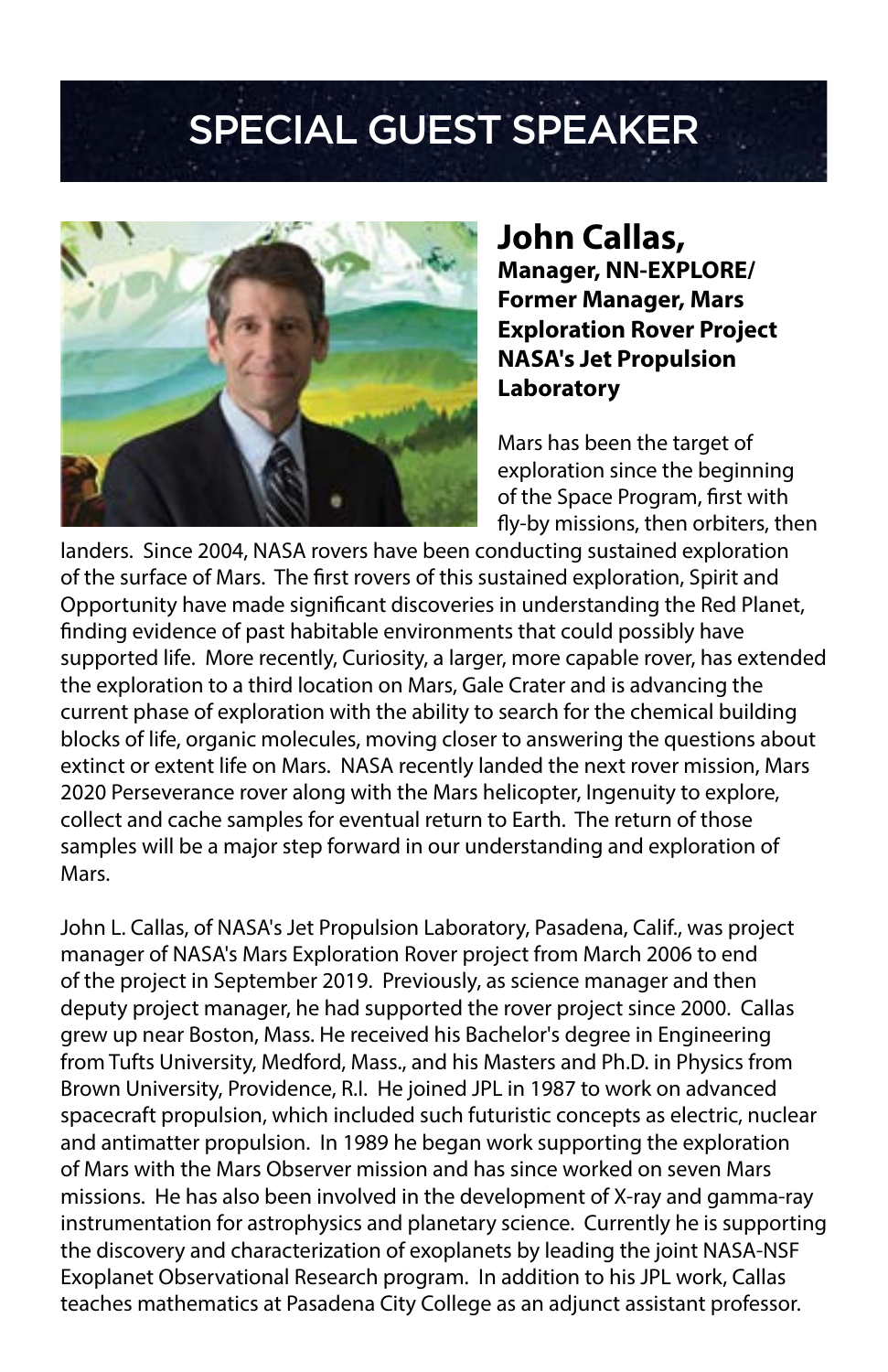# SPECIAL GUEST SPEAKER



**John Callas, Manager, NN-EXPLORE/ Former Manager, Mars Exploration Rover Project NASA's Jet Propulsion Laboratory**

Mars has been the target of exploration since the beginning of the Space Program, first with fly-by missions, then orbiters, then

landers. Since 2004, NASA rovers have been conducting sustained exploration of the surface of Mars. The first rovers of this sustained exploration, Spirit and Opportunity have made significant discoveries in understanding the Red Planet, finding evidence of past habitable environments that could possibly have supported life. More recently, Curiosity, a larger, more capable rover, has extended the exploration to a third location on Mars, Gale Crater and is advancing the current phase of exploration with the ability to search for the chemical building blocks of life, organic molecules, moving closer to answering the questions about extinct or extent life on Mars. NASA recently landed the next rover mission, Mars 2020 Perseverance rover along with the Mars helicopter, Ingenuity to explore, collect and cache samples for eventual return to Earth. The return of those samples will be a major step forward in our understanding and exploration of Mars.

John L. Callas, of NASA's Jet Propulsion Laboratory, Pasadena, Calif., was project manager of NASA's Mars Exploration Rover project from March 2006 to end of the project in September 2019. Previously, as science manager and then deputy project manager, he had supported the rover project since 2000. Callas grew up near Boston, Mass. He received his Bachelor's degree in Engineering from Tufts University, Medford, Mass., and his Masters and Ph.D. in Physics from Brown University, Providence, R.I. He joined JPL in 1987 to work on advanced spacecraft propulsion, which included such futuristic concepts as electric, nuclear and antimatter propulsion. In 1989 he began work supporting the exploration of Mars with the Mars Observer mission and has since worked on seven Mars missions. He has also been involved in the development of X-ray and gamma-ray instrumentation for astrophysics and planetary science. Currently he is supporting the discovery and characterization of exoplanets by leading the joint NASA-NSF Exoplanet Observational Research program. In addition to his JPL work, Callas teaches mathematics at Pasadena City College as an adjunct assistant professor.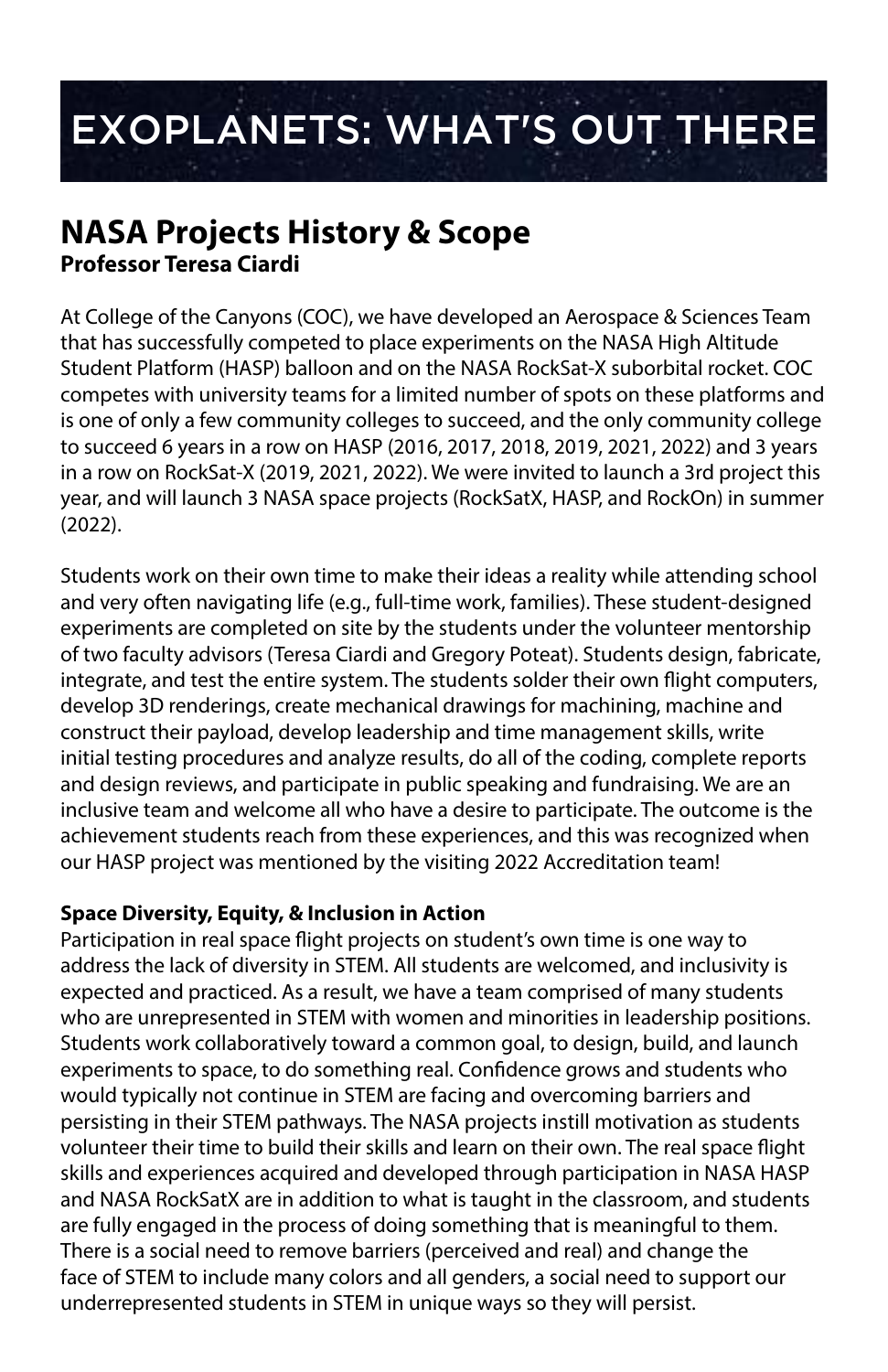# EXOPLANETS: WHAT'S OUT THERE

### **NASA Projects History & Scope Professor Teresa Ciardi**

At College of the Canyons (COC), we have developed an Aerospace & Sciences Team that has successfully competed to place experiments on the NASA High Altitude Student Platform (HASP) balloon and on the NASA RockSat-X suborbital rocket. COC competes with university teams for a limited number of spots on these platforms and is one of only a few community colleges to succeed, and the only community college to succeed 6 years in a row on HASP (2016, 2017, 2018, 2019, 2021, 2022) and 3 years in a row on RockSat-X (2019, 2021, 2022). We were invited to launch a 3rd project this year, and will launch 3 NASA space projects (RockSatX, HASP, and RockOn) in summer (2022).

Students work on their own time to make their ideas a reality while attending school and very often navigating life (e.g., full-time work, families). These student-designed experiments are completed on site by the students under the volunteer mentorship of two faculty advisors (Teresa Ciardi and Gregory Poteat). Students design, fabricate, integrate, and test the entire system. The students solder their own flight computers, develop 3D renderings, create mechanical drawings for machining, machine and construct their payload, develop leadership and time management skills, write initial testing procedures and analyze results, do all of the coding, complete reports and design reviews, and participate in public speaking and fundraising. We are an inclusive team and welcome all who have a desire to participate. The outcome is the achievement students reach from these experiences, and this was recognized when our HASP project was mentioned by the visiting 2022 Accreditation team!

#### **Space Diversity, Equity, & Inclusion in Action**

Participation in real space flight projects on student's own time is one way to address the lack of diversity in STEM. All students are welcomed, and inclusivity is expected and practiced. As a result, we have a team comprised of many students who are unrepresented in STEM with women and minorities in leadership positions. Students work collaboratively toward a common goal, to design, build, and launch experiments to space, to do something real. Confidence grows and students who would typically not continue in STEM are facing and overcoming barriers and persisting in their STEM pathways. The NASA projects instill motivation as students volunteer their time to build their skills and learn on their own. The real space flight skills and experiences acquired and developed through participation in NASA HASP and NASA RockSatX are in addition to what is taught in the classroom, and students are fully engaged in the process of doing something that is meaningful to them. There is a social need to remove barriers (perceived and real) and change the face of STEM to include many colors and all genders, a social need to support our underrepresented students in STEM in unique ways so they will persist.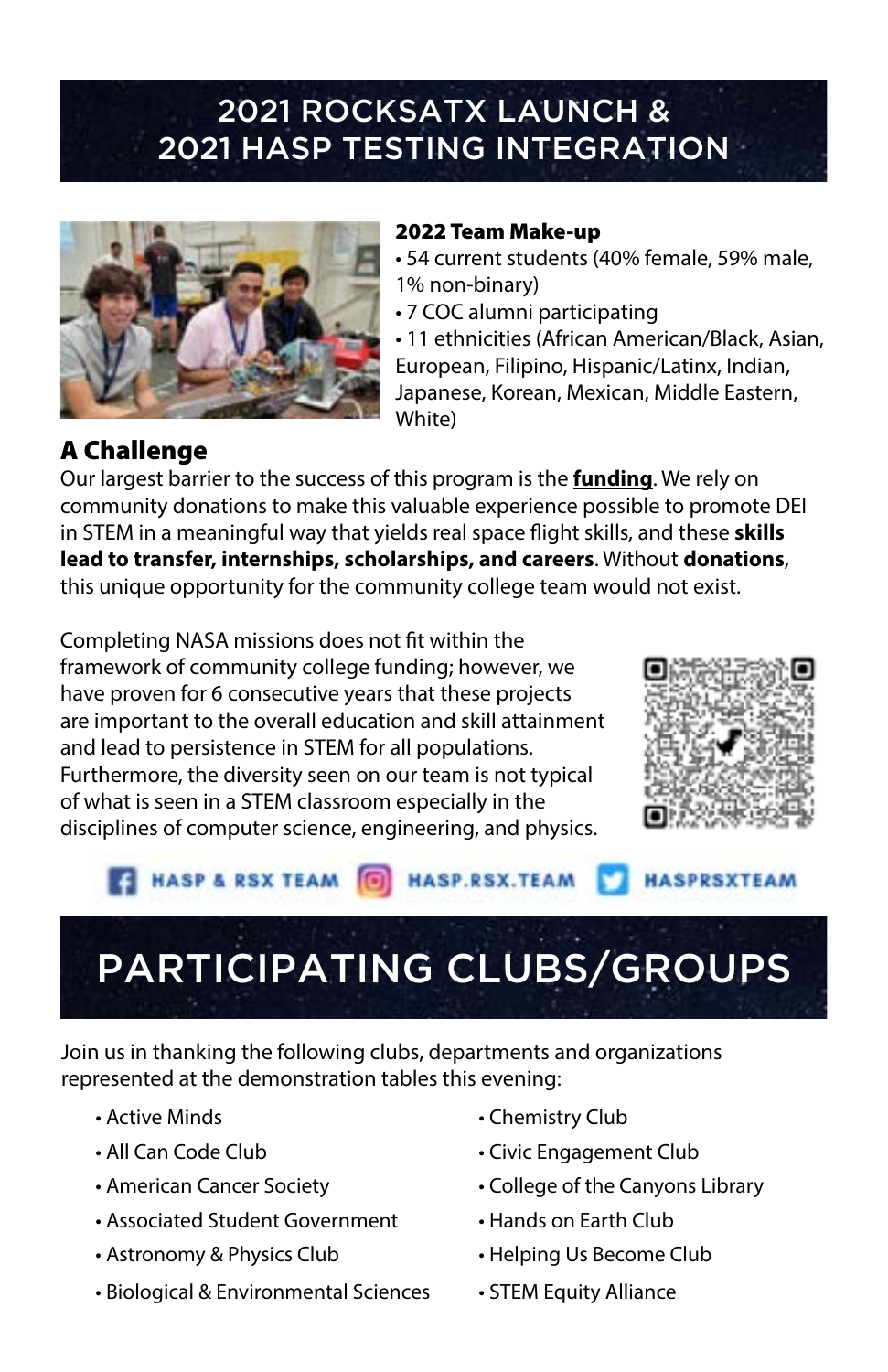## 2021 ROCKSATX LAUNCH & 2021 HASP TESTING INTEGRATION



#### 2022 Team Make-up

- 54 current students (40% female, 59% male, 1% non-binary)
- 7 COC alumni participating

• 11 ethnicities (African American/Black, Asian, European, Filipino, Hispanic/Latinx, Indian, Japanese, Korean, Mexican, Middle Eastern, White)

### A Challenge

Our largest barrier to the success of this program is the **funding**. We rely on community donations to make this valuable experience possible to promote DEI in STEM in a meaningful way that yields real space flight skills, and these **skills lead to transfer, internships, scholarships, and careers**. Without **donations**, this unique opportunity for the community college team would not exist.

Completing NASA missions does not fit within the framework of community college funding; however, we have proven for 6 consecutive years that these projects are important to the overall education and skill attainment and lead to persistence in STEM for all populations. Furthermore, the diversity seen on our team is not typical of what is seen in a STEM classroom especially in the disciplines of computer science, engineering, and physics.



#### **HASP & RSX TEAM [6] HASP.RSX.TEAM HASPRSXTEAM**

# PARTICIPATING CLUBS/GROUPS

Join us in thanking the following clubs, departments and organizations represented at the demonstration tables this evening:

- 
- 
- 
- Associated Student Government Hands on Earth Club
- Astronomy & Physics Club Helping Us Become Club
- Biological & Environmental Sciences STEM Equity Alliance
- Active Minds Chemistry Club
- All Can Code Club Civic Engagement Club
- American Cancer Society College of the Canyons Library
	-
	-
	-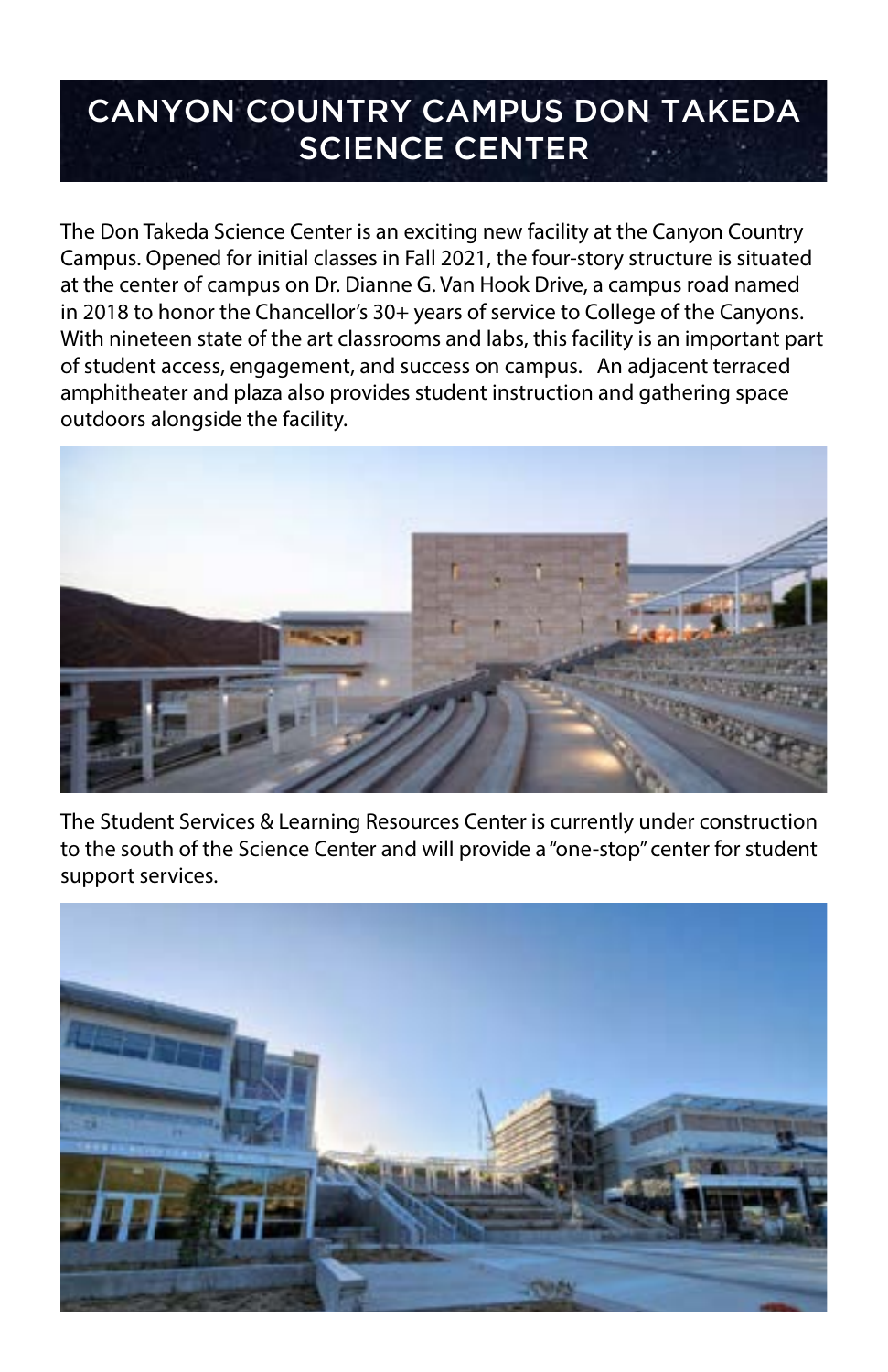## CANYON COUNTRY CAMPUS DON TAKEDA SCIENCE CENTER

The Don Takeda Science Center is an exciting new facility at the Canyon Country Campus. Opened for initial classes in Fall 2021, the four-story structure is situated at the center of campus on Dr. Dianne G. Van Hook Drive, a campus road named in 2018 to honor the Chancellor's 30+ years of service to College of the Canyons. With nineteen state of the art classrooms and labs, this facility is an important part of student access, engagement, and success on campus. An adjacent terraced amphitheater and plaza also provides student instruction and gathering space outdoors alongside the facility.



The Student Services & Learning Resources Center is currently under construction to the south of the Science Center and will provide a "one-stop" center for student support services.